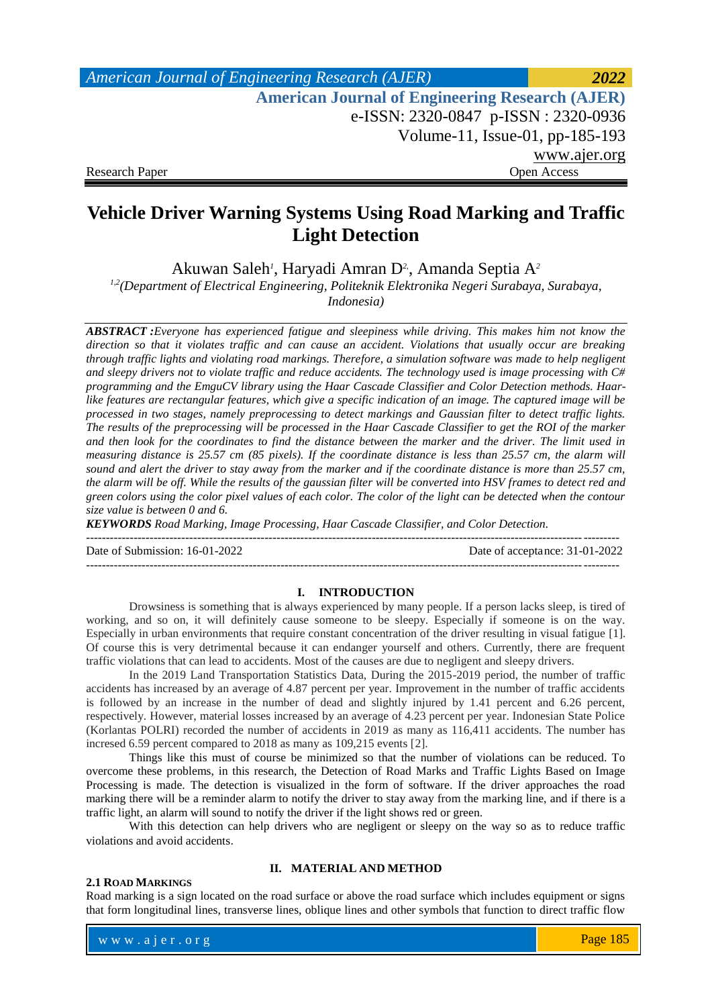| American Journal of Engineering Research (AJER)        | 2022         |
|--------------------------------------------------------|--------------|
| <b>American Journal of Engineering Research (AJER)</b> |              |
| e-ISSN: 2320-0847 p-ISSN: 2320-0936                    |              |
| Volume-11, Issue-01, pp-185-193                        |              |
|                                                        | www.ajer.org |
| <b>Research Paper</b>                                  | Open Access  |

# **Vehicle Driver Warning Systems Using Road Marking and Traffic Light Detection**

Akuwan Saleh *1* , Haryadi Amran D*2,* , Amanda Septia A*<sup>2</sup>*

*1,2(Department of Electrical Engineering, Politeknik Elektronika Negeri Surabaya, Surabaya,* 

*Indonesia)*

*ABSTRACT :Everyone has experienced fatigue and sleepiness while driving. This makes him not know the direction so that it violates traffic and can cause an accident. Violations that usually occur are breaking through traffic lights and violating road markings. Therefore, a simulation software was made to help negligent and sleepy drivers not to violate traffic and reduce accidents. The technology used is image processing with C# programming and the EmguCV library using the Haar Cascade Classifier and Color Detection methods. Haarlike features are rectangular features, which give a specific indication of an image. The captured image will be processed in two stages, namely preprocessing to detect markings and Gaussian filter to detect traffic lights. The results of the preprocessing will be processed in the Haar Cascade Classifier to get the ROI of the marker and then look for the coordinates to find the distance between the marker and the driver. The limit used in measuring distance is 25.57 cm (85 pixels). If the coordinate distance is less than 25.57 cm, the alarm will sound and alert the driver to stay away from the marker and if the coordinate distance is more than 25.57 cm, the alarm will be off. While the results of the gaussian filter will be converted into HSV frames to detect red and green colors using the color pixel values of each color. The color of the light can be detected when the contour size value is between 0 and 6.* 

*KEYWORDS Road Marking, Image Processing, Haar Cascade Classifier, and Color Detection.*

Date of Submission: 16-01-2022 Date of acceptance: 31-01-2022

--------------------------------------------------------------------------------------------------------------------------------------

### **I. INTRODUCTION**

--------------------------------------------------------------------------------------------------------------------------------------

Drowsiness is something that is always experienced by many people. If a person lacks sleep, is tired of working, and so on, it will definitely cause someone to be sleepy. Especially if someone is on the way. Especially in urban environments that require constant concentration of the driver resulting in visual fatigue [1]. Of course this is very detrimental because it can endanger yourself and others. Currently, there are frequent traffic violations that can lead to accidents. Most of the causes are due to negligent and sleepy drivers.

In the 2019 Land Transportation Statistics Data, During the 2015-2019 period, the number of traffic accidents has increased by an average of 4.87 percent per year. Improvement in the number of traffic accidents is followed by an increase in the number of dead and slightly injured by 1.41 percent and 6.26 percent, respectively. However, material losses increased by an average of 4.23 percent per year. Indonesian State Police (Korlantas POLRI) recorded the number of accidents in 2019 as many as 116,411 accidents. The number has incresed 6.59 percent compared to 2018 as many as 109,215 events [2].

Things like this must of course be minimized so that the number of violations can be reduced. To overcome these problems, in this research, the Detection of Road Marks and Traffic Lights Based on Image Processing is made. The detection is visualized in the form of software. If the driver approaches the road marking there will be a reminder alarm to notify the driver to stay away from the marking line, and if there is a traffic light, an alarm will sound to notify the driver if the light shows red or green.

With this detection can help drivers who are negligent or sleepy on the way so as to reduce traffic violations and avoid accidents.

### **2.1 ROAD MARKINGS**

## **II. MATERIAL AND METHOD**

Road marking is a sign located on the road surface or above the road surface which includes equipment or signs that form longitudinal lines, transverse lines, oblique lines and other symbols that function to direct traffic flow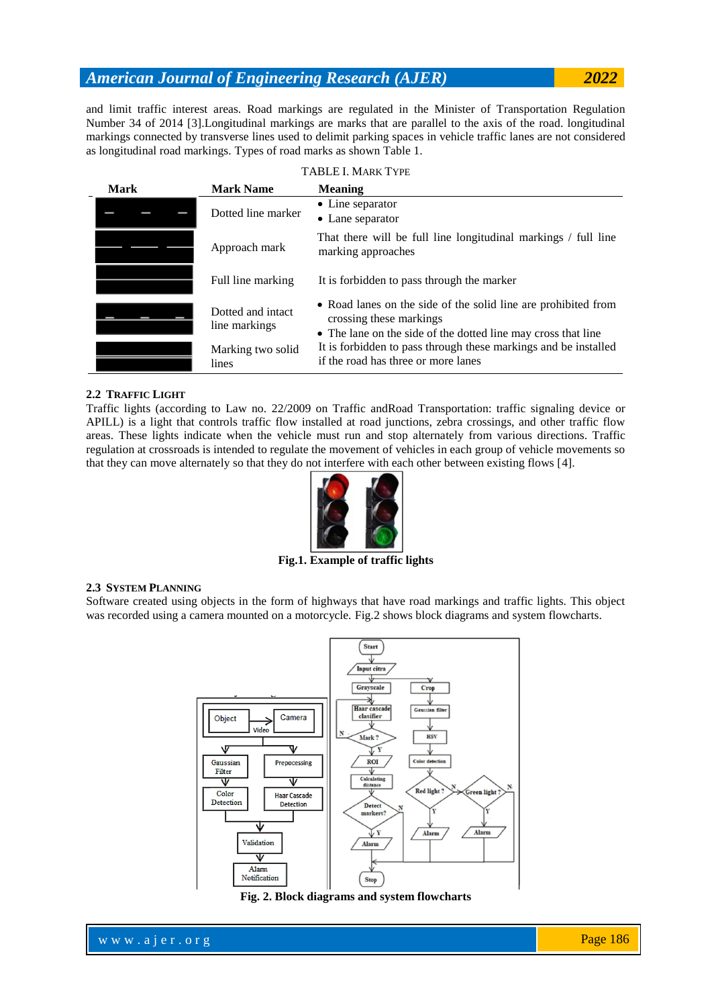and limit traffic interest areas. Road markings are regulated in the Minister of Transportation Regulation Number 34 of 2014 [3].Longitudinal markings are marks that are parallel to the axis of the road. longitudinal markings connected by transverse lines used to delimit parking spaces in vehicle traffic lanes are not considered as longitudinal road markings. Types of road marks as shown Table 1.

|      |                                    | <b>TABLE I. MARK TYPE</b>                                                                                                                                  |
|------|------------------------------------|------------------------------------------------------------------------------------------------------------------------------------------------------------|
| Mark | <b>Mark Name</b>                   | <b>Meaning</b>                                                                                                                                             |
|      | Dotted line marker                 | • Line separator<br>• Lane separator                                                                                                                       |
|      | Approach mark                      | That there will be full line longitudinal markings / full line<br>marking approaches                                                                       |
|      | Full line marking                  | It is forbidden to pass through the marker                                                                                                                 |
|      | Dotted and intact<br>line markings | • Road lanes on the side of the solid line are prohibited from<br>crossing these markings<br>• The lane on the side of the dotted line may cross that line |
|      | Marking two solid<br>lines         | It is forbidden to pass through these markings and be installed<br>if the road has three or more lanes                                                     |

## **2.2 TRAFFIC LIGHT**

Traffic lights (according to Law no. 22/2009 on Traffic andRoad Transportation: traffic signaling device or APILL) is a light that controls traffic flow installed at road junctions, zebra crossings, and other traffic flow areas. These lights indicate when the vehicle must run and stop alternately from various directions. Traffic regulation at crossroads is intended to regulate the movement of vehicles in each group of vehicle movements so that they can move alternately so that they do not interfere with each other between existing flows [4].



**Fig.1. Example of traffic lights**

## **2.3 SYSTEM PLANNING**

Software created using objects in the form of highways that have road markings and traffic lights. This object was recorded using a camera mounted on a motorcycle. Fig.2 shows block diagrams and system flowcharts.



**Fig. 2. Block diagrams and system flowcharts**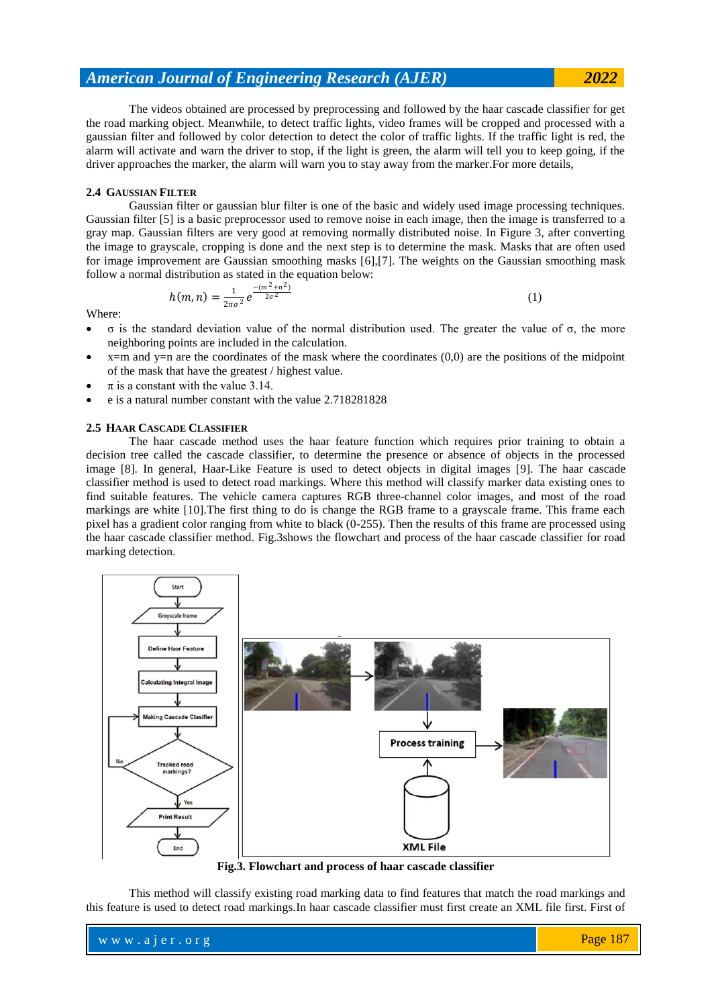The videos obtained are processed by preprocessing and followed by the haar cascade classifier for get the road marking object. Meanwhile, to detect traffic lights, video frames will be cropped and processed with a gaussian filter and followed by color detection to detect the color of traffic lights. If the traffic light is red, the alarm will activate and warn the driver to stop, if the light is green, the alarm will tell you to keep going, if the driver approaches the marker, the alarm will warn you to stay away from the marker.For more details,

## **2.4 GAUSSIAN FILTER**

Gaussian filter or gaussian blur filter is one of the basic and widely used image processing techniques. Gaussian filter [5] is a basic preprocessor used to remove noise in each image, then the image is transferred to a gray map. Gaussian filters are very good at removing normally distributed noise. In Figure 3, after converting the image to grayscale, cropping is done and the next step is to determine the mask. Masks that are often used for image improvement are Gaussian smoothing masks [6],[7]. The weights on the Gaussian smoothing mask follow a normal distribution as stated in the equation below:

$$
h(m,n) = \frac{1}{2\pi\sigma^2} e^{\frac{-(m^2+n^2)}{2\sigma^2}}
$$
 (1)

Where:

- σ is the standard deviation value of the normal distribution used. The greater the value of σ, the more neighboring points are included in the calculation.
- $x=$ m and  $y=$ n are the coordinates of the mask where the coordinates  $(0,0)$  are the positions of the midpoint of the mask that have the greatest / highest value.
- $\pi$  is a constant with the value 3.14.
- e is a natural number constant with the value 2.718281828

#### **2.5 HAAR CASCADE CLASSIFIER**

The haar cascade method uses the haar feature function which requires prior training to obtain a decision tree called the cascade classifier, to determine the presence or absence of objects in the processed image [8]. In general, Haar-Like Feature is used to detect objects in digital images [9]. The haar cascade classifier method is used to detect road markings. Where this method will classify marker data existing ones to find suitable features. The vehicle camera captures RGB three-channel color images, and most of the road markings are white [10].The first thing to do is change the RGB frame to a grayscale frame. This frame each pixel has a gradient color ranging from white to black (0-255). Then the results of this frame are processed using the haar cascade classifier method. Fig.3shows the flowchart and process of the haar cascade classifier for road marking detection.



**Fig.3. Flowchart and process of haar cascade classifier**

This method will classify existing road marking data to find features that match the road markings and this feature is used to detect road markings.In haar cascade classifier must first create an XML file first. First of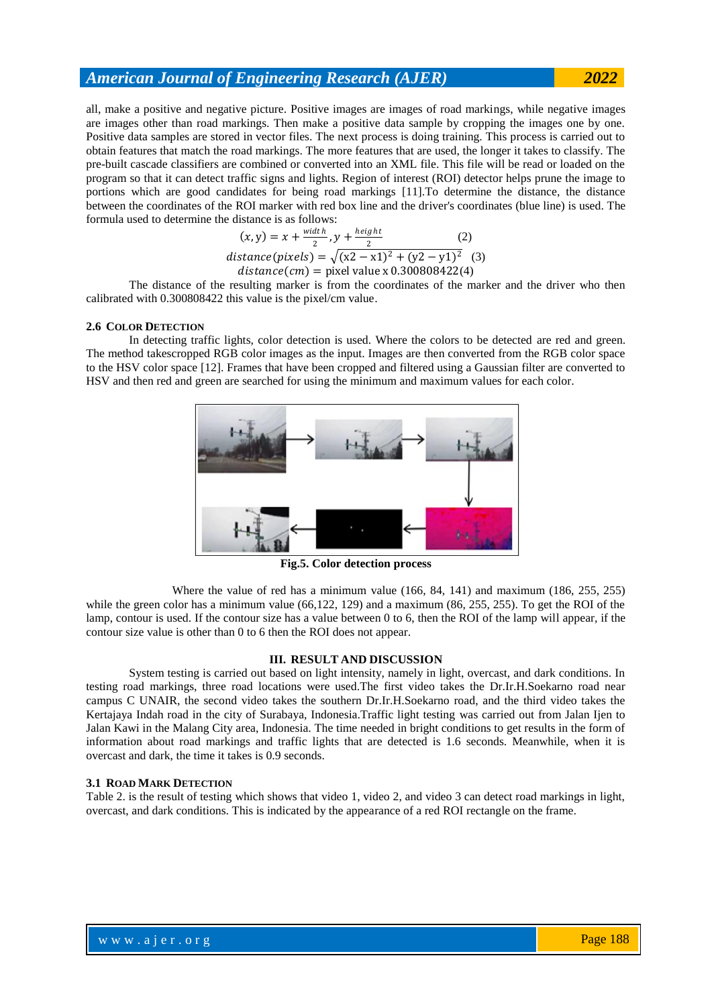all, make a positive and negative picture. Positive images are images of road markings, while negative images are images other than road markings. Then make a positive data sample by cropping the images one by one. Positive data samples are stored in vector files. The next process is doing training. This process is carried out to obtain features that match the road markings. The more features that are used, the longer it takes to classify. The pre-built cascade classifiers are combined or converted into an XML file. This file will be read or loaded on the program so that it can detect traffic signs and lights. Region of interest (ROI) detector helps prune the image to portions which are good candidates for being road markings [11].To determine the distance, the distance between the coordinates of the ROI marker with red box line and the driver's coordinates (blue line) is used. The formula used to determine the distance is as follows:

$$
(x, y) = x + \frac{width}{2}, y + \frac{height}{2}
$$
 (2)  
distance(pixels) =  $\sqrt{(x2 - x1)^2 + (y2 - y1)^2}$  (3)  
distance(*cm*) = pixel value x 0.300808422(4)

The distance of the resulting marker is from the coordinates of the marker and the driver who then calibrated with 0.300808422 this value is the pixel/cm value.

### **2.6 COLOR DETECTION**

In detecting traffic lights, color detection is used. Where the colors to be detected are red and green. The method takescropped RGB color images as the input. Images are then converted from the RGB color space to the HSV color space [12]. Frames that have been cropped and filtered using a Gaussian filter are converted to HSV and then red and green are searched for using the minimum and maximum values for each color.



**Fig.5. Color detection process**

Where the value of red has a minimum value (166, 84, 141) and maximum (186, 255, 255) while the green color has a minimum value (66,122, 129) and a maximum (86, 255, 255). To get the ROI of the lamp, contour is used. If the contour size has a value between 0 to 6, then the ROI of the lamp will appear, if the contour size value is other than 0 to 6 then the ROI does not appear.

### **III. RESULT AND DISCUSSION**

System testing is carried out based on light intensity, namely in light, overcast, and dark conditions. In testing road markings, three road locations were used.The first video takes the Dr.Ir.H.Soekarno road near campus C UNAIR, the second video takes the southern Dr.Ir.H.Soekarno road, and the third video takes the Kertajaya Indah road in the city of Surabaya, Indonesia.Traffic light testing was carried out from Jalan Ijen to Jalan Kawi in the Malang City area, Indonesia. The time needed in bright conditions to get results in the form of information about road markings and traffic lights that are detected is 1.6 seconds. Meanwhile, when it is overcast and dark, the time it takes is 0.9 seconds.

### **3.1 ROAD MARK DETECTION**

Table 2. is the result of testing which shows that video 1, video 2, and video 3 can detect road markings in light, overcast, and dark conditions. This is indicated by the appearance of a red ROI rectangle on the frame.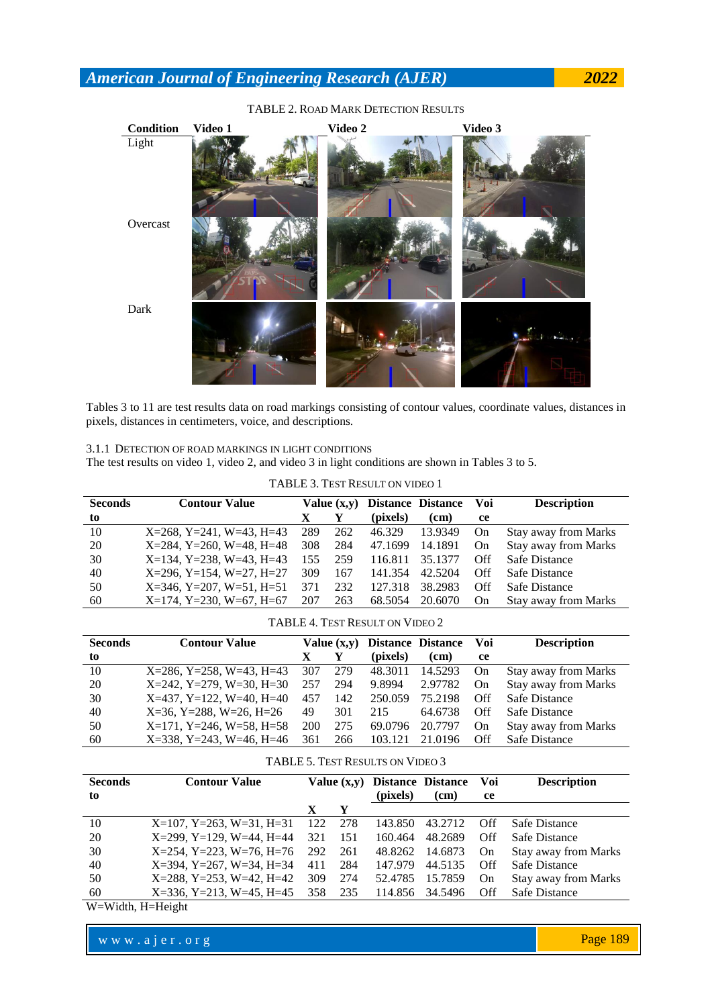

## TABLE 2. ROAD MARK DETECTION RESULTS

Tables 3 to 11 are test results data on road markings consisting of contour values, coordinate values, distances in pixels, distances in centimeters, voice, and descriptions.

3.1.1 DETECTION OF ROAD MARKINGS IN LIGHT CONDITIONS

The test results on video 1, video 2, and video 3 in light conditions are shown in Tables 3 to 5.

TABLE 3. TEST RESULT ON VIDEO 1

| <b>Seconds</b> | <b>Contour Value</b>                |     | Value $(x,y)$ | <b>Distance Distance</b> |         | Voi | <b>Description</b>          |
|----------------|-------------------------------------|-----|---------------|--------------------------|---------|-----|-----------------------------|
| to             |                                     | X   |               | (pixels)                 | (cm)    | ce  |                             |
| 10             | $X=268$ , $Y=241$ , $W=43$ , $H=43$ | 289 | 262           | 46.329                   | 13.9349 | On  | <b>Stay away from Marks</b> |
| 20             | $X=284$ , $Y=260$ , $W=48$ , $H=48$ | 308 | 284           | 47.1699                  | 14.1891 | On  | <b>Stay away from Marks</b> |
| 30             | $X=134$ , Y=238, W=43, H=43         | 155 | 259           | 116.811                  | 35.1377 | Off | Safe Distance               |
| 40             | $X=296$ , $Y=154$ , $W=27$ , $H=27$ | 309 | 167           | 141.354                  | 42.5204 | Off | Safe Distance               |
| 50             | $X=346$ , $Y=207$ , $W=51$ , $H=51$ | 371 | 232           | 127.318                  | 38.2983 | Off | Safe Distance               |
| 60             | $X=174$ , $Y=230$ , $W=67$ , $H=67$ | 207 | 263           | 68.5054                  | 20.6070 | On  | <b>Stay away from Marks</b> |

TABLE 4. TEST RESULT ON VIDEO 2

| <b>Seconds</b> | <b>Contour Value</b>                |            | Value $(x,y)$ |          | Distance Distance | Voi       | <b>Description</b>          |
|----------------|-------------------------------------|------------|---------------|----------|-------------------|-----------|-----------------------------|
| to             |                                     | X          |               | (pixels) | (cm)              | ce        |                             |
| 10             | $X=286$ , $Y=258$ , $W=43$ , $H=43$ | 307        | 279           | 48.3011  | 14.5293           | On        | <b>Stay away from Marks</b> |
| 20             | $X=242$ , $Y=279$ , $W=30$ , $H=30$ | 257        | 294           | 9.8994   | 2.97782           | On.       | <b>Stay away from Marks</b> |
| 30             | $X=437, Y=122, W=40, H=40$          | 457        | 142           | 250.059  | 75.2198           | Off       | Safe Distance               |
| 40             | $X=36$ , $Y=288$ , $W=26$ , $H=26$  | 49         | 301           | 215      | 64.6738           | Off       | Safe Distance               |
| 50             | $X=171$ , $Y=246$ , $W=58$ , $H=58$ | <b>200</b> | 275           | 69.0796  | 20.7797           | <b>On</b> | <b>Stay away from Marks</b> |
| 60             | $X=338$ , $Y=243$ , $W=46$ , $H=46$ | 361        | 266           | 103.121  | 21.0196           | Off       | Safe Distance               |

| TABLE 5. TEST RESULTS ON VIDEO 3 |  |
|----------------------------------|--|
|                                  |  |

| <b>Seconds</b> | <b>Contour Value</b>                |     | Value $(x,y)$ | <b>Distance Distance</b> |                 | Voi   | <b>Description</b>          |
|----------------|-------------------------------------|-----|---------------|--------------------------|-----------------|-------|-----------------------------|
| to             |                                     |     |               | (pixels)                 | (cm)            | ce    |                             |
|                |                                     |     | Y             |                          |                 |       |                             |
| 10             | $X=107$ , $Y=263$ , $W=31$ , $H=31$ | 122 | 278           | 143.850                  | 43.2712         | - Off | Safe Distance               |
| 20             | $X=299$ , $Y=129$ , $W=44$ , $H=44$ | 321 | 151           | 160.464                  | 48.2689         | Off   | Safe Distance               |
| 30             | $X=254$ , $Y=223$ , $W=76$ , $H=76$ | 292 | 261           |                          | 48.8262 14.6873 | On    | Stay away from Marks        |
| 40             | $X=394$ , $Y=267$ , $W=34$ , $H=34$ | 411 | 284           | 147.979                  | 44.5135         | Off   | Safe Distance               |
| 50             | $X=288$ , $Y=253$ , $W=42$ , $H=42$ | 309 | 274           | 52.4785                  | 15.7859         | On    | <b>Stay away from Marks</b> |
| 60             | $X=336$ , $Y=213$ , $W=45$ , $H=45$ | 358 | 235           | 114.856                  | 34.5496         | Off   | Safe Distance               |

W=Width, H=Height

www.ajer.org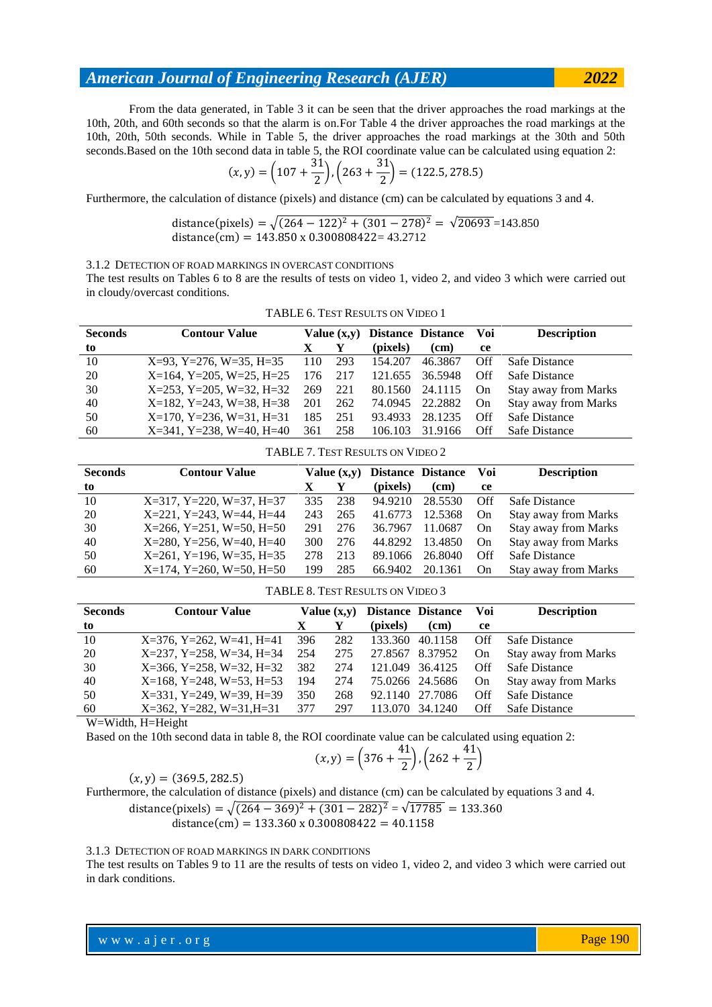From the data generated, in Table 3 it can be seen that the driver approaches the road markings at the 10th, 20th, and 60th seconds so that the alarm is on.For Table 4 the driver approaches the road markings at the 10th, 20th, 50th seconds. While in Table 5, the driver approaches the road markings at the 30th and 50th seconds.Based on the 10th second data in table 5, the ROI coordinate value can be calculated using equation 2:

$$
(x,y) = \left(107 + \frac{31}{2}\right), \left(263 + \frac{31}{2}\right) = (122.5, 278.5)
$$

Furthermore, the calculation of distance (pixels) and distance (cm) can be calculated by equations 3 and 4.

distance(pixels) = 
$$
\sqrt{(264 - 122)^2 + (301 - 278)^2} = \sqrt{20693} = 143.850
$$
  
distance(cm) = 143.850 x 0.300808422 = 43.2712

3.1.2 DETECTION OF ROAD MARKINGS IN OVERCAST CONDITIONS

The test results on Tables 6 to 8 are the results of tests on video 1, video 2, and video 3 which were carried out in cloudy/overcast conditions.

TABLE 6. TEST RESULTS ON VIDEO 1

| <b>Seconds</b> | <b>Contour Value</b>                | Value $(x,y)$ |     | <b>Distance Distance</b> |         | Voi | <b>Description</b>          |
|----------------|-------------------------------------|---------------|-----|--------------------------|---------|-----|-----------------------------|
| to             |                                     |               |     | (pixels)                 | (cm)    | ce  |                             |
| 10             | $X=93$ , $Y=276$ , $W=35$ , $H=35$  | 110           | 293 | 154.207                  | 46.3867 | Off | Safe Distance               |
| 20             | $X=164$ , $Y=205$ , $W=25$ , $H=25$ | 176           | 217 | 121.655                  | 36.5948 | Off | Safe Distance               |
| 30             | $X=253$ , $Y=205$ , $W=32$ , $H=32$ | 269           | 221 | 80.1560                  | 24.1115 | On  | <b>Stay away from Marks</b> |
| 40             | $X=182$ , Y=243, W=38, H=38         | 201           | 262 | 74.0945                  | 22.2882 | On  | <b>Stay away from Marks</b> |
| 50             | $X=170$ , $Y=236$ , $W=31$ , $H=31$ | 185           | 251 | 93.4933                  | 28.1235 | Off | Safe Distance               |
| 60             | $X=341$ , Y=238, W=40, H=40         | 361           | 258 | 106.103                  | 31.9166 | Off | Safe Distance               |
|                |                                     |               |     |                          |         |     |                             |

TABLE 7. TEST RESULTS ON VIDEO 2

| <b>Seconds</b> | <b>Contour Value</b>                | Value $(x,y)$ |     | Distance Distance |                   | Voi       | <b>Description</b>          |
|----------------|-------------------------------------|---------------|-----|-------------------|-------------------|-----------|-----------------------------|
| to             |                                     |               |     | (pixels)          | (c <sub>m</sub> ) | ce        |                             |
| 10             | $X=317$ , $Y=220$ , $W=37$ , $H=37$ | 335           | 238 | 94.9210           | 28.5530           | Off       | Safe Distance               |
| 20             | $X=221$ , $Y=243$ , $W=44$ , $H=44$ | 243           | 265 | 41.6773           | 12.5368           | <b>On</b> | <b>Stay away from Marks</b> |
| 30             | $X=266$ , $Y=251$ , $W=50$ , $H=50$ | 291           | 276 | 36.7967           | 11.0687           | On        | <b>Stay away from Marks</b> |
| 40             | $X=280$ , Y=256, W=40, H=40         | 300           | 276 | 44.8292           | 13.4850           | On        | <b>Stay away from Marks</b> |
| 50             | $X=261$ , Y=196, W=35, H=35         | 278           | 213 | 89.1066           | 26.8040           | Off       | Safe Distance               |
| 60             | $X=174$ , Y=260, W=50, H=50         | 199           | 285 | 66.9402           | 20.1361           | On        | <b>Stay away from Marks</b> |

|  |  |  |  |  | <b>TABLE 8. TEST RESULTS ON VIDEO 3</b> |  |  |  |  |
|--|--|--|--|--|-----------------------------------------|--|--|--|--|
|--|--|--|--|--|-----------------------------------------|--|--|--|--|

| <b>Seconds</b> | <b>Contour Value</b>                |     | Value $(x,y)$ |                 | <b>Distance Distance</b> | Voi | <b>Description</b>          |
|----------------|-------------------------------------|-----|---------------|-----------------|--------------------------|-----|-----------------------------|
| to             |                                     |     |               | (pixels)        | (cm)                     | ce  |                             |
| 10             | $X=376$ , $Y=262$ , $W=41$ , $H=41$ | 396 | 282           | 133.360         | 40.1158                  | Off | Safe Distance               |
| 20             | $X=237, Y=258, W=34, H=34$          | 254 | 275           | 27.8567 8.37952 |                          | On  | Stay away from Marks        |
| 30             | $X=366$ , $Y=258$ , $W=32$ , $H=32$ | 382 | 274           | 121,049 36,4125 |                          | Off | Safe Distance               |
| 40             | $X=168$ , $Y=248$ , $W=53$ , $H=53$ | 194 | 274           | 75.0266 24.5686 |                          | On  | <b>Stay away from Marks</b> |
| 50             | $X=331, Y=249, W=39, H=39$          | 350 | 268           | 92.1140         | 27.7086                  | Off | Safe Distance               |
| 60             | $X=362$ , $Y=282$ , $W=31$ , $H=31$ | 377 | 297           | 113.070         | 34.1240                  | Off | Safe Distance               |

W=Width, H=Height

Based on the 10th second data in table 8, the ROI coordinate value can be calculated using equation 2:

$$
(x,y) = \left(376 + \frac{41}{2}\right), \left(262 + \frac{41}{2}\right)
$$

 $(x, y) = (369.5, 282.5)$ 

Furthermore, the calculation of distance (pixels) and distance (cm) can be calculated by equations 3 and 4. distance(pixels) =  $\sqrt{(264 - 369)^2 + (301 - 282)^2} = \sqrt{17785} = 133.360$ distance (cm) =  $133.360 \times 0.300808422 = 40.1158$ 

## 3.1.3 DETECTION OF ROAD MARKINGS IN DARK CONDITIONS

The test results on Tables 9 to 11 are the results of tests on video 1, video 2, and video 3 which were carried out in dark conditions.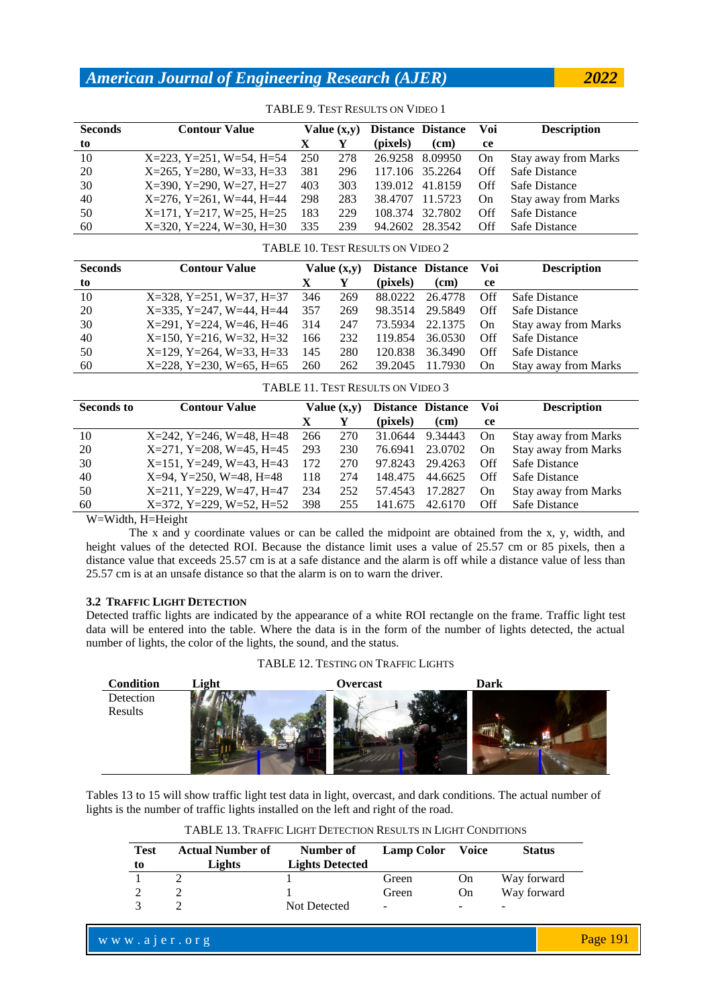| <b>Seconds</b> | <b>Contour Value</b>                | Value $(x,y)$ |     |                 | <b>Distance Distance</b> | Voi | <b>Description</b>          |
|----------------|-------------------------------------|---------------|-----|-----------------|--------------------------|-----|-----------------------------|
| to             |                                     | Х             |     | (pixels)        | (cm)                     | ce  |                             |
| 10             | $X=223$ , $Y=251$ , $W=54$ , $H=54$ | 250           | 278 | 26.9258 8.09950 |                          | On  | Stay away from Marks        |
| 20             | $X=265$ , $Y=280$ , $W=33$ , $H=33$ | 381           | 296 |                 | 117.106 35.2264          | Off | Safe Distance               |
| 30             | $X=390, Y=290, W=27, H=27$          | 403           | 303 | 139.012         | 41.8159                  | Off | Safe Distance               |
| 40             | $X=276$ , $Y=261$ , $W=44$ , $H=44$ | 298           | 283 | 38.4707         | 11.5723                  | On. | <b>Stay away from Marks</b> |
| 50             | $X=171$ , $Y=217$ , $W=25$ , $H=25$ | 183           | 229 | 108.374         | 32.7802                  | Off | Safe Distance               |
| 60             | $X=320, Y=224, W=30, H=30$          | 335           | 239 | 94.2602         | 28.3542                  | Off | Safe Distance               |

### TABLE 9. TEST RESULTS ON VIDEO 1

### TABLE 10. TEST RESULTS ON VIDEO 2

| <b>Seconds</b> | <b>Contour Value</b>                    | Value $(x,y)$ |     |          | Distance Distance Voi |     | <b>Description</b>          |
|----------------|-----------------------------------------|---------------|-----|----------|-----------------------|-----|-----------------------------|
| to             |                                         |               |     | (pixels) | (cm)                  | ce  |                             |
| 10             | $X=328$ , $Y=251$ , $W=37$ , $H=37$     | 346           | 269 |          | 88.0222 26.4778       | Off | Safe Distance               |
| 20             | $X=335, Y=247, W=44, H=44$              | 357           | 269 |          | 98.3514 29.5849       | Off | Safe Distance               |
| 30             | $X=291$ , $Y=224$ , $W=46$ , $H=46$ 314 |               | 247 |          | 73.5934 22.1375       | On  | <b>Stay away from Marks</b> |
| 40             | $X=150$ , $Y=216$ , $W=32$ , $H=32$     | 166           | 232 |          | 119.854 36.0530       | Off | Safe Distance               |
| 50             | $X=129$ , $Y=264$ , $W=33$ , $H=33$     | 145           | 280 | 120.838  | 36.3490               | Off | Safe Distance               |
| 60             | $X=228$ , $Y=230$ , $W=65$ , $H=65$     | 260           | 262 |          | 39.2045 11.7930       | On  | <b>Stay away from Marks</b> |

#### TABLE 11. TEST RESULTS ON VIDEO 3

| <b>Seconds to</b> | <b>Contour Value</b>                |     | Value $(x,y)$ |                 | <b>Distance Distance</b> | Voi | <b>Description</b>          |
|-------------------|-------------------------------------|-----|---------------|-----------------|--------------------------|-----|-----------------------------|
|                   |                                     |     |               | (pixels)        | (cm)                     | ce  |                             |
| 10                | $X=242$ , $Y=246$ , $W=48$ , $H=48$ | 266 | 270           | 31.0644 9.34443 |                          | On  | <b>Stay away from Marks</b> |
| 20                | $X=271$ , $Y=208$ , $W=45$ , $H=45$ | 293 | 230           |                 | 76.6941 23.0702          | On  | <b>Stay away from Marks</b> |
| 30                | $X=151$ , $Y=249$ , $W=43$ , $H=43$ | 172 | 270           | 97.8243 29.4263 |                          | Off | Safe Distance               |
| 40                | $X=94$ , $Y=250$ , $W=48$ , $H=48$  | 118 | 274           | 148.475         | 44.6625                  | Off | Safe Distance               |
| 50                | $X=211$ , $Y=229$ , $W=47$ , $H=47$ | 234 | 252           | 57.4543         | 17.2827                  | On  | <b>Stay away from Marks</b> |
| 60                | $X=372$ , $Y=229$ , $W=52$ , $H=52$ | 398 | 255           | 141.675         | 42.6170                  | Off | Safe Distance               |
|                   |                                     |     |               |                 |                          |     |                             |

W=Width, H=Height

The x and y coordinate values or can be called the midpoint are obtained from the x, y, width, and height values of the detected ROI. Because the distance limit uses a value of 25.57 cm or 85 pixels, then a distance value that exceeds 25.57 cm is at a safe distance and the alarm is off while a distance value of less than 25.57 cm is at an unsafe distance so that the alarm is on to warn the driver.

### **3.2 TRAFFIC LIGHT DETECTION**

Detected traffic lights are indicated by the appearance of a white ROI rectangle on the frame. Traffic light test data will be entered into the table. Where the data is in the form of the number of lights detected, the actual number of lights, the color of the lights, the sound, and the status.

TABLE 12. TESTING ON TRAFFIC LIGHTS

| <b>Condition</b> | Light | Overcast | <b>Dark</b> |
|------------------|-------|----------|-------------|
| Detection        |       |          |             |
| Results          |       |          |             |

Tables 13 to 15 will show traffic light test data in light, overcast, and dark conditions. The actual number of lights is the number of traffic lights installed on the left and right of the road.

| <b>Test</b> | <b>Actual Number of</b><br>Lights | Number of<br><b>Lights Detected</b> | <b>Lamp Color</b>        | <b>Voice</b>             | <b>Status</b> |
|-------------|-----------------------------------|-------------------------------------|--------------------------|--------------------------|---------------|
| to          |                                   |                                     | Green                    | On                       | Way forward   |
|             |                                   |                                     | Green                    | On                       | Way forward   |
|             |                                   | Not Detected                        | $\overline{\phantom{a}}$ | $\overline{\phantom{a}}$ | ۰             |

|  |  | www.ajer.org |
|--|--|--------------|
|  |  |              |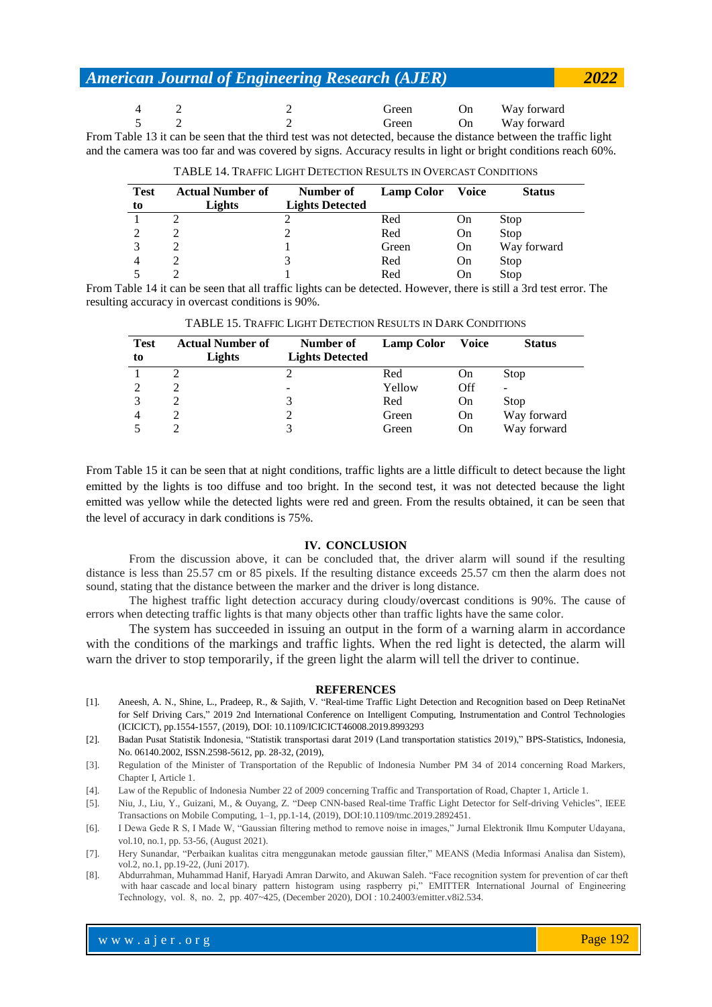|  | Green | On | Way forward |
|--|-------|----|-------------|
|  | Green | On | Way forward |

From Table 13 it can be seen that the third test was not detected, because the distance between the traffic light and the camera was too far and was covered by signs. Accuracy results in light or bright conditions reach 60%.

| <b>Test</b> | <b>Actual Number of</b> | Number of              | <b>Lamp Color</b> | <b>Voice</b> | <b>Status</b> |
|-------------|-------------------------|------------------------|-------------------|--------------|---------------|
| to          | Lights                  | <b>Lights Detected</b> |                   |              |               |
|             |                         |                        | Red               | On           | Stop          |
|             |                         |                        | Red               | On           | Stop          |
|             |                         |                        | Green             | On           | Way forward   |
|             |                         |                        | Red               | On           | Stop          |
|             |                         |                        | Red               | On           | Stop          |

TABLE 14. TRAFFIC LIGHT DETECTION RESULTS IN OVERCAST CONDITIONS

From Table 14 it can be seen that all traffic lights can be detected. However, there is still a 3rd test error. The resulting accuracy in overcast conditions is 90%.

| <b>Test</b><br>to | <b>Actual Number of</b><br>Lights | Number of<br><b>Lights Detected</b> | <b>Lamp Color</b> | Voice | <b>Status</b>            |
|-------------------|-----------------------------------|-------------------------------------|-------------------|-------|--------------------------|
|                   |                                   |                                     | Red               | On    | Stop                     |
|                   |                                   | -                                   | Yellow            | Off   | $\overline{\phantom{a}}$ |
|                   |                                   | 3                                   | Red               | On    | Stop                     |
| 4                 |                                   |                                     | Green             | On    | Way forward              |
|                   |                                   |                                     | Green             | On    | Way forward              |

TABLE 15. TRAFFIC LIGHT DETECTION RESULTS IN DARK CONDITIONS

From Table 15 it can be seen that at night conditions, traffic lights are a little difficult to detect because the light emitted by the lights is too diffuse and too bright. In the second test, it was not detected because the light emitted was yellow while the detected lights were red and green. From the results obtained, it can be seen that the level of accuracy in dark conditions is 75%.

### **IV. CONCLUSION**

From the discussion above, it can be concluded that, the driver alarm will sound if the resulting distance is less than 25.57 cm or 85 pixels. If the resulting distance exceeds 25.57 cm then the alarm does not sound, stating that the distance between the marker and the driver is long distance.

The highest traffic light detection accuracy during cloudy/overcast conditions is 90%. The cause of errors when detecting traffic lights is that many objects other than traffic lights have the same color.

The system has succeeded in issuing an output in the form of a warning alarm in accordance with the conditions of the markings and traffic lights. When the red light is detected, the alarm will warn the driver to stop temporarily, if the green light the alarm will tell the driver to continue.

#### **REFERENCES**

- [1]. Aneesh, A. N., Shine, L., Pradeep, R., & Sajith, V. "Real-time Traffic Light Detection and Recognition based on Deep RetinaNet for Self Driving Cars," 2019 2nd International Conference on Intelligent Computing, Instrumentation and Control Technologies (ICICICT), pp.1554-1557, (2019), DOI: 10.1109/ICICICT46008.2019.8993293
- [2]. Badan Pusat Statistik Indonesia, "Statistik transportasi darat 2019 (Land transportation statistics 2019)," BPS-Statistics, Indonesia, No. 06140.2002, ISSN.2598-5612, pp. 28-32, (2019),
- [3]. Regulation of the Minister of Transportation of the Republic of Indonesia Number PM 34 of 2014 concerning Road Markers, Chapter I, Article 1.
- [4]. Law of the Republic of Indonesia Number 22 of 2009 concerning Traffic and Transportation of Road, Chapter 1, Article 1.

[5]. Niu, J., Liu, Y., Guizani, M., & Ouyang, Z. "Deep CNN-based Real-time Traffic Light Detector for Self-driving Vehicles", IEEE Transactions on Mobile Computing, 1–1, pp.1-14, (2019), DOI:10.1109/tmc.2019.2892451.

- [6]. I Dewa Gede R S, I Made W, "Gaussian filtering method to remove noise in images," Jurnal Elektronik Ilmu Komputer Udayana, vol.10, no.1, pp. 53-56, (August 2021).
- [7]. Hery Sunandar, "Perbaikan kualitas citra menggunakan metode gaussian filter," MEANS (Media Informasi Analisa dan Sistem), vol.2, no.1, pp.19-22, (Juni 2017).
- with haar cascade and local binary pattern histogram using raspberry pi," EMITTER International Journal of Engineering Technology, vol. 8, no. 2, pp. 407~425, (December 2020), DOI : 10.24003/emitter.v8i2.534. [8]. Abdurrahman, Muhammad Hanif, Haryadi Amran Darwito, and Akuwan Saleh. "Face recognition system for prevention of car theft